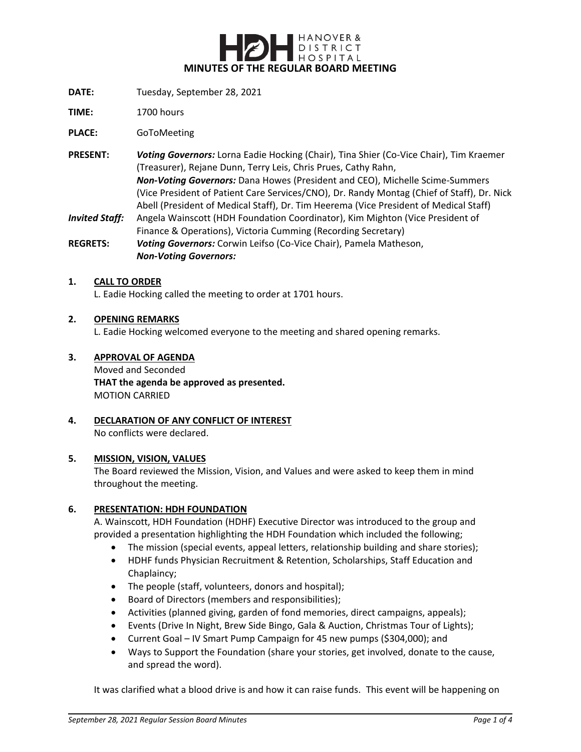

- **DATE:** Tuesday, September 28, 2021
- **TIME:** 1700 hours

**PLACE:** GoToMeeting

**PRESENT:** *Voting Governors:* Lorna Eadie Hocking (Chair), Tina Shier (Co-Vice Chair), Tim Kraemer (Treasurer), Rejane Dunn, Terry Leis, Chris Prues, Cathy Rahn, *Non-Voting Governors:* Dana Howes (President and CEO), Michelle Scime-Summers (Vice President of Patient Care Services/CNO), Dr. Randy Montag (Chief of Staff), Dr. Nick Abell (President of Medical Staff), Dr. Tim Heerema (Vice President of Medical Staff) *Invited Staff:* Angela Wainscott (HDH Foundation Coordinator), Kim Mighton (Vice President of Finance & Operations), Victoria Cumming (Recording Secretary)

**REGRETS:** *Voting Governors:* Corwin Leifso (Co-Vice Chair), Pamela Matheson, *Non-Voting Governors:*

#### **1. CALL TO ORDER**

L. Eadie Hocking called the meeting to order at 1701 hours.

#### **2. OPENING REMARKS**

L. Eadie Hocking welcomed everyone to the meeting and shared opening remarks.

#### **3. APPROVAL OF AGENDA**

Moved and Seconded **THAT the agenda be approved as presented.** MOTION CARRIED

#### **4. DECLARATION OF ANY CONFLICT OF INTEREST** No conflicts were declared.

#### **5. MISSION, VISION, VALUES**

The Board reviewed the Mission, Vision, and Values and were asked to keep them in mind throughout the meeting.

#### **6. PRESENTATION: HDH FOUNDATION**

A. Wainscott, HDH Foundation (HDHF) Executive Director was introduced to the group and provided a presentation highlighting the HDH Foundation which included the following;

- The mission (special events, appeal letters, relationship building and share stories);
- HDHF funds Physician Recruitment & Retention, Scholarships, Staff Education and Chaplaincy;
- The people (staff, volunteers, donors and hospital);
- Board of Directors (members and responsibilities);
- Activities (planned giving, garden of fond memories, direct campaigns, appeals);
- Events (Drive In Night, Brew Side Bingo, Gala & Auction, Christmas Tour of Lights);
- Current Goal IV Smart Pump Campaign for 45 new pumps (\$304,000); and
- Ways to Support the Foundation (share your stories, get involved, donate to the cause, and spread the word).

It was clarified what a blood drive is and how it can raise funds. This event will be happening on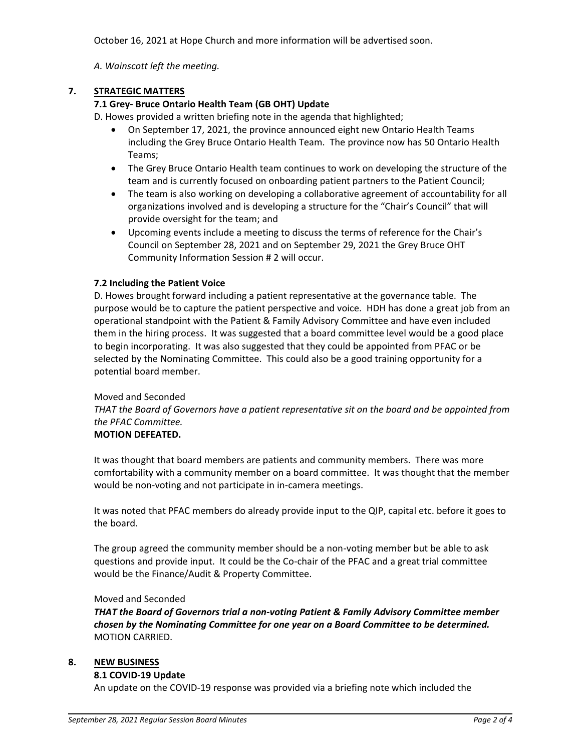October 16, 2021 at Hope Church and more information will be advertised soon.

*A. Wainscott left the meeting.*

# **7. STRATEGIC MATTERS**

# **7.1 Grey- Bruce Ontario Health Team (GB OHT) Update**

D. Howes provided a written briefing note in the agenda that highlighted;

- On September 17, 2021, the province announced eight new Ontario Health Teams including the Grey Bruce Ontario Health Team. The province now has 50 Ontario Health Teams;
- The Grey Bruce Ontario Health team continues to work on developing the structure of the team and is currently focused on onboarding patient partners to the Patient Council;
- The team is also working on developing a collaborative agreement of accountability for all organizations involved and is developing a structure for the "Chair's Council" that will provide oversight for the team; and
- Upcoming events include a meeting to discuss the terms of reference for the Chair's Council on September 28, 2021 and on September 29, 2021 the Grey Bruce OHT Community Information Session # 2 will occur.

## **7.2 Including the Patient Voice**

D. Howes brought forward including a patient representative at the governance table. The purpose would be to capture the patient perspective and voice. HDH has done a great job from an operational standpoint with the Patient & Family Advisory Committee and have even included them in the hiring process. It was suggested that a board committee level would be a good place to begin incorporating. It was also suggested that they could be appointed from PFAC or be selected by the Nominating Committee. This could also be a good training opportunity for a potential board member.

## Moved and Seconded

*THAT the Board of Governors have a patient representative sit on the board and be appointed from the PFAC Committee.*

## **MOTION DEFEATED.**

It was thought that board members are patients and community members. There was more comfortability with a community member on a board committee. It was thought that the member would be non-voting and not participate in in-camera meetings.

It was noted that PFAC members do already provide input to the QIP, capital etc. before it goes to the board.

The group agreed the community member should be a non-voting member but be able to ask questions and provide input. It could be the Co-chair of the PFAC and a great trial committee would be the Finance/Audit & Property Committee.

#### Moved and Seconded

*THAT the Board of Governors trial a non-voting Patient & Family Advisory Committee member chosen by the Nominating Committee for one year on a Board Committee to be determined.* MOTION CARRIED.

## **8. NEW BUSINESS**

## **8.1 COVID-19 Update**

An update on the COVID-19 response was provided via a briefing note which included the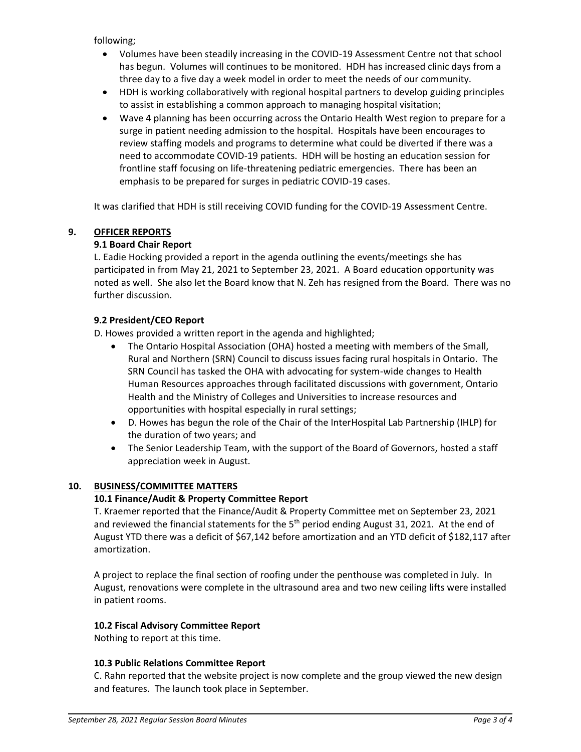following;

- Volumes have been steadily increasing in the COVID-19 Assessment Centre not that school has begun. Volumes will continues to be monitored. HDH has increased clinic days from a three day to a five day a week model in order to meet the needs of our community.
- HDH is working collaboratively with regional hospital partners to develop guiding principles to assist in establishing a common approach to managing hospital visitation;
- Wave 4 planning has been occurring across the Ontario Health West region to prepare for a surge in patient needing admission to the hospital. Hospitals have been encourages to review staffing models and programs to determine what could be diverted if there was a need to accommodate COVID-19 patients. HDH will be hosting an education session for frontline staff focusing on life-threatening pediatric emergencies. There has been an emphasis to be prepared for surges in pediatric COVID-19 cases.

It was clarified that HDH is still receiving COVID funding for the COVID-19 Assessment Centre.

# **9. OFFICER REPORTS**

# **9.1 Board Chair Report**

L. Eadie Hocking provided a report in the agenda outlining the events/meetings she has participated in from May 21, 2021 to September 23, 2021. A Board education opportunity was noted as well. She also let the Board know that N. Zeh has resigned from the Board. There was no further discussion.

# **9.2 President/CEO Report**

D. Howes provided a written report in the agenda and highlighted;

- The Ontario Hospital Association (OHA) hosted a meeting with members of the Small, Rural and Northern (SRN) Council to discuss issues facing rural hospitals in Ontario. The SRN Council has tasked the OHA with advocating for system-wide changes to Health Human Resources approaches through facilitated discussions with government, Ontario Health and the Ministry of Colleges and Universities to increase resources and opportunities with hospital especially in rural settings;
- D. Howes has begun the role of the Chair of the InterHospital Lab Partnership (IHLP) for the duration of two years; and
- The Senior Leadership Team, with the support of the Board of Governors, hosted a staff appreciation week in August.

## **10. BUSINESS/COMMITTEE MATTERS**

## **10.1 Finance/Audit & Property Committee Report**

T. Kraemer reported that the Finance/Audit & Property Committee met on September 23, 2021 and reviewed the financial statements for the  $5<sup>th</sup>$  period ending August 31, 2021. At the end of August YTD there was a deficit of \$67,142 before amortization and an YTD deficit of \$182,117 after amortization.

A project to replace the final section of roofing under the penthouse was completed in July. In August, renovations were complete in the ultrasound area and two new ceiling lifts were installed in patient rooms.

## **10.2 Fiscal Advisory Committee Report**

Nothing to report at this time.

## **10.3 Public Relations Committee Report**

C. Rahn reported that the website project is now complete and the group viewed the new design and features. The launch took place in September.